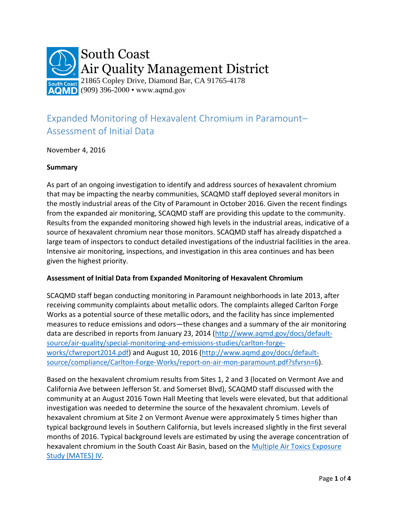

## Expanded Monitoring of Hexavalent Chromium in Paramount– Assessment of Initial Data

November 4, 2016

## **Summary**

As part of an ongoing investigation to identify and address sources of hexavalent chromium that may be impacting the nearby communities, SCAQMD staff deployed several monitors in the mostly industrial areas of the City of Paramount in October 2016. Given the recent findings from the expanded air monitoring, SCAQMD staff are providing this update to the community. Results from the expanded monitoring showed high levels in the industrial areas, indicative of a source of hexavalent chromium near those monitors. SCAQMD staff has already dispatched a large team of inspectors to conduct detailed investigations of the industrial facilities in the area. Intensive air monitoring, inspections, and investigation in this area continues and has been given the highest priority.

## **Assessment of Initial Data from Expanded Monitoring of Hexavalent Chromium**

SCAQMD staff began conducting monitoring in Paramount neighborhoods in late 2013, after receiving community complaints about metallic odors. The complaints alleged Carlton Forge Works as a potential source of these metallic odors, and the facility has since implemented measures to reduce emissions and odors—these changes and a summary of the air monitoring data are described in reports from January 23, 2014 [\(http://www.aqmd.gov/docs/default](http://www.aqmd.gov/docs/default-source/air-quality/special-monitoring-and-emissions-studies/carlton-forge-works/cfwreport2014.pdf)[source/air-quality/special-monitoring-and-emissions-studies/carlton-forge](http://www.aqmd.gov/docs/default-source/air-quality/special-monitoring-and-emissions-studies/carlton-forge-works/cfwreport2014.pdf)[works/cfwreport2014.pdf\)](http://www.aqmd.gov/docs/default-source/air-quality/special-monitoring-and-emissions-studies/carlton-forge-works/cfwreport2014.pdf) and August 10, 2016 [\(http://www.aqmd.gov/docs/default](http://www.aqmd.gov/docs/default-source/compliance/Carlton-Forge-Works/report-on-air-mon-paramount.pdf?sfvrsn=6)[source/compliance/Carlton-Forge-Works/report-on-air-mon-paramount.pdf?sfvrsn=6\)](http://www.aqmd.gov/docs/default-source/compliance/Carlton-Forge-Works/report-on-air-mon-paramount.pdf?sfvrsn=6).

Based on the hexavalent chromium results from Sites 1, 2 and 3 (located on Vermont Ave and California Ave between Jefferson St. and Somerset Blvd), SCAQMD staff discussed with the community at an August 2016 Town Hall Meeting that levels were elevated, but that additional investigation was needed to determine the source of the hexavalent chromium. Levels of hexavalent chromium at Site 2 on Vermont Avenue were approximately 5 times higher than typical background levels in Southern California, but levels increased slightly in the first several months of 2016. Typical background levels are estimated by using the average concentration of hexavalent chromium in the South Coast Air Basin, based on the Multiple Air Toxics Exposure [Study \(MATES\) IV.](http://www.aqmd.gov/home/library/air-quality-data-studies/health-studies/mates-iv)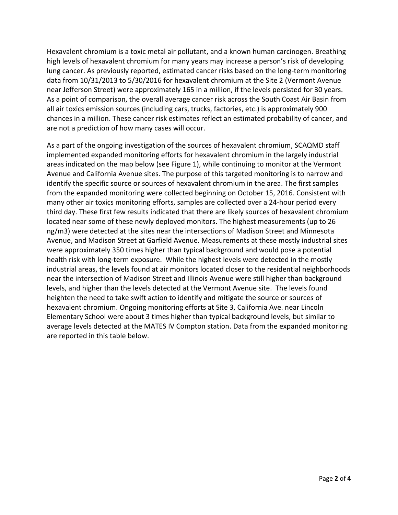Hexavalent chromium is a toxic metal air pollutant, and a known human carcinogen. Breathing high levels of hexavalent chromium for many years may increase a person's risk of developing lung cancer. As previously reported, estimated cancer risks based on the long-term monitoring data from 10/31/2013 to 5/30/2016 for hexavalent chromium at the Site 2 (Vermont Avenue near Jefferson Street) were approximately 165 in a million, if the levels persisted for 30 years. As a point of comparison, the overall average cancer risk across the South Coast Air Basin from all air toxics emission sources (including cars, trucks, factories, etc.) is approximately 900 chances in a million. These cancer risk estimates reflect an estimated probability of cancer, and are not a prediction of how many cases will occur.

As a part of the ongoing investigation of the sources of hexavalent chromium, SCAQMD staff implemented expanded monitoring efforts for hexavalent chromium in the largely industrial areas indicated on the map below (see Figure 1), while continuing to monitor at the Vermont Avenue and California Avenue sites. The purpose of this targeted monitoring is to narrow and identify the specific source or sources of hexavalent chromium in the area. The first samples from the expanded monitoring were collected beginning on October 15, 2016. Consistent with many other air toxics monitoring efforts, samples are collected over a 24-hour period every third day. These first few results indicated that there are likely sources of hexavalent chromium located near some of these newly deployed monitors. The highest measurements (up to 26 ng/m3) were detected at the sites near the intersections of Madison Street and Minnesota Avenue, and Madison Street at Garfield Avenue. Measurements at these mostly industrial sites were approximately 350 times higher than typical background and would pose a potential health risk with long-term exposure. While the highest levels were detected in the mostly industrial areas, the levels found at air monitors located closer to the residential neighborhoods near the intersection of Madison Street and Illinois Avenue were still higher than background levels, and higher than the levels detected at the Vermont Avenue site. The levels found heighten the need to take swift action to identify and mitigate the source or sources of hexavalent chromium. Ongoing monitoring efforts at Site 3, California Ave. near Lincoln Elementary School were about 3 times higher than typical background levels, but similar to average levels detected at the MATES IV Compton station. Data from the expanded monitoring are reported in this table below.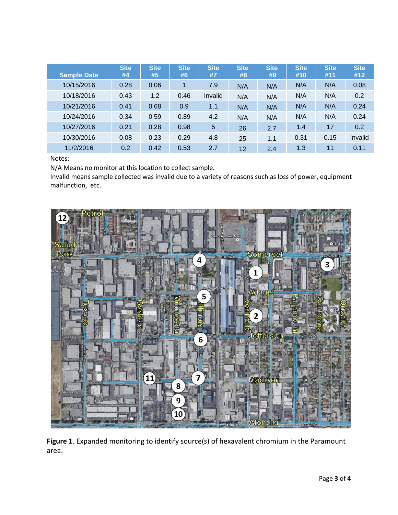| <b>Sample Date</b> | <b>Site</b><br>#4 | <b>Site</b><br>#5 | <b>Site</b><br>#6 | <b>Site</b><br>#7 | <b>Site</b><br>#8 | <b>Site</b><br>#9 | <b>Site</b><br>#10 | <b>Site</b><br>#11 | <b>Site</b><br>#12 |
|--------------------|-------------------|-------------------|-------------------|-------------------|-------------------|-------------------|--------------------|--------------------|--------------------|
| 10/15/2016         | 0.28              | 0.06              |                   | 7.9               | N/A               | N/A               | N/A                | N/A                | 0.08               |
| 10/18/2016         | 0.43              | 1.2               | 0.46              | Invalid           | N/A               | N/A               | N/A                | N/A                | 0.2                |
| 10/21/2016         | 0.41              | 0.68              | 0.9               | 1.1               | N/A               | N/A               | N/A                | N/A                | 0.24               |
| 10/24/2016         | 0.34              | 0.59              | 0.89              | 4.2               | N/A               | N/A               | N/A                | N/A                | 0.24               |
| 10/27/2016         | 0.21              | 0.28              | 0.98              | 5                 | 26                | 2.7               | 1.4                | 17                 | 0.2                |
| 10/30/2016         | 0.08              | 0.23              | 0.29              | 4.8               | 25                | 1.1               | 0.31               | 0.15               | Invalid            |
| 11/2/2016          | 0.2               | 0.42              | 0.53              | 2.7               | 12                | 2.4               | 1.3                | 11                 | 0.11               |

## Notes:

N/A Means no monitor at this location to collect sample.

Invalid means sample collected was invalid due to a variety of reasons such as loss of power, equipment malfunction, etc.



**Figure 1**. Expanded monitoring to identify source(s) of hexavalent chromium in the Paramount area.